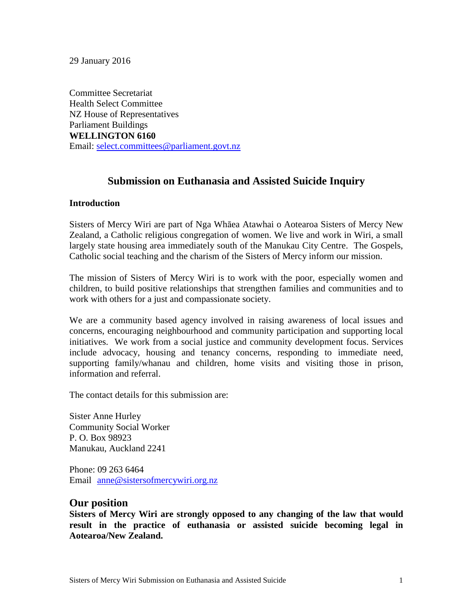29 January 2016

Committee Secretariat Health Select Committee NZ House of Representatives Parliament Buildings **WELLINGTON 6160** Email: [select.committees@parliament.govt.nz](mailto:select.committees@parliament.govt.nz)

#### **Submission on Euthanasia and Assisted Suicide Inquiry**

#### **Introduction**

Sisters of Mercy Wiri are part of Nga Whāea Atawhai o Aotearoa Sisters of Mercy New Zealand, a Catholic religious congregation of women. We live and work in Wiri, a small largely state housing area immediately south of the Manukau City Centre. The Gospels, Catholic social teaching and the charism of the Sisters of Mercy inform our mission.

The mission of Sisters of Mercy Wiri is to work with the poor, especially women and children, to build positive relationships that strengthen families and communities and to work with others for a just and compassionate society.

We are a community based agency involved in raising awareness of local issues and concerns, encouraging neighbourhood and community participation and supporting local initiatives. We work from a social justice and community development focus. Services include advocacy, housing and tenancy concerns, responding to immediate need, supporting family/whanau and children, home visits and visiting those in prison, information and referral.

The contact details for this submission are:

Sister Anne Hurley Community Social Worker P. O. Box 98923 Manukau, Auckland 2241

Phone: 09 263 6464 Email [anne@sistersofmercywiri.org.nz](mailto:anne@sistersofmercywiri.org.nz)

#### **Our position**

**Sisters of Mercy Wiri are strongly opposed to any changing of the law that would result in the practice of euthanasia or assisted suicide becoming legal in Aotearoa/New Zealand.**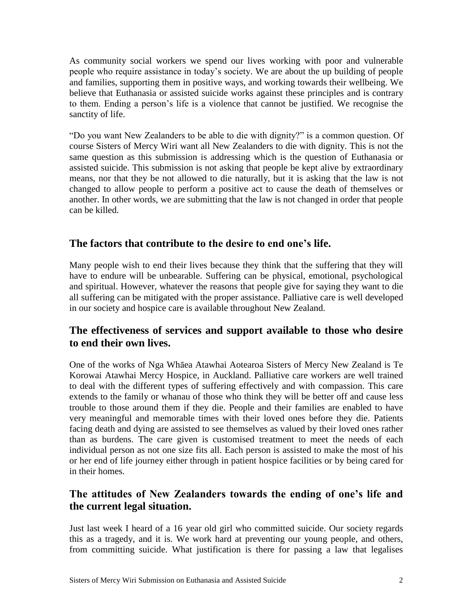As community social workers we spend our lives working with poor and vulnerable people who require assistance in today's society. We are about the up building of people and families, supporting them in positive ways, and working towards their wellbeing. We believe that Euthanasia or assisted suicide works against these principles and is contrary to them. Ending a person's life is a violence that cannot be justified. We recognise the sanctity of life.

"Do you want New Zealanders to be able to die with dignity?" is a common question. Of course Sisters of Mercy Wiri want all New Zealanders to die with dignity. This is not the same question as this submission is addressing which is the question of Euthanasia or assisted suicide. This submission is not asking that people be kept alive by extraordinary means, nor that they be not allowed to die naturally, but it is asking that the law is not changed to allow people to perform a positive act to cause the death of themselves or another. In other words, we are submitting that the law is not changed in order that people can be killed.

## **The factors that contribute to the desire to end one's life.**

Many people wish to end their lives because they think that the suffering that they will have to endure will be unbearable. Suffering can be physical, emotional, psychological and spiritual. However, whatever the reasons that people give for saying they want to die all suffering can be mitigated with the proper assistance. Palliative care is well developed in our society and hospice care is available throughout New Zealand.

## **The effectiveness of services and support available to those who desire to end their own lives.**

One of the works of Nga Whāea Atawhai Aotearoa Sisters of Mercy New Zealand is Te Korowai Atawhai Mercy Hospice, in Auckland. Palliative care workers are well trained to deal with the different types of suffering effectively and with compassion. This care extends to the family or whanau of those who think they will be better off and cause less trouble to those around them if they die. People and their families are enabled to have very meaningful and memorable times with their loved ones before they die. Patients facing death and dying are assisted to see themselves as valued by their loved ones rather than as burdens. The care given is customised treatment to meet the needs of each individual person as not one size fits all. Each person is assisted to make the most of his or her end of life journey either through in patient hospice facilities or by being cared for in their homes.

# **The attitudes of New Zealanders towards the ending of one's life and the current legal situation.**

Just last week I heard of a 16 year old girl who committed suicide. Our society regards this as a tragedy, and it is. We work hard at preventing our young people, and others, from committing suicide. What justification is there for passing a law that legalises